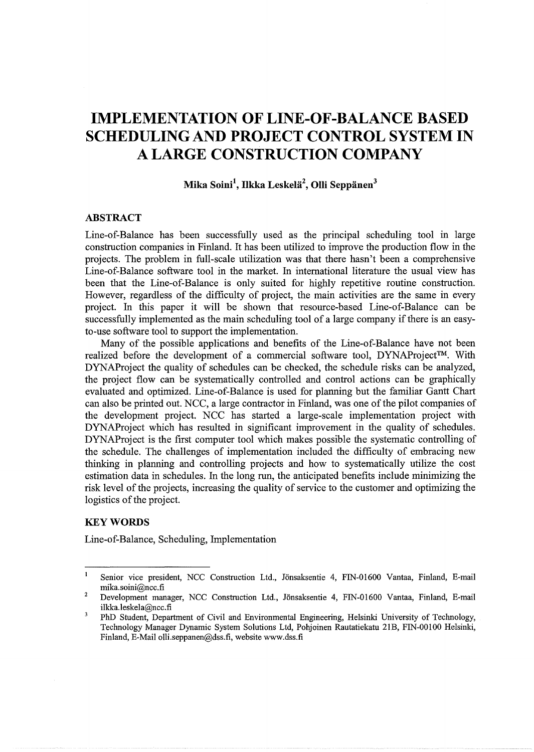# **IMPLEMENTATION OF LINE-OF-BALANCE BASED SCHEDULING AND PROJECT CONTROL SYSTEM IN A LARGE CONSTRUCTION COMPANY**

# **Mika Soini\ Ilkka LeskeHi<sup>2</sup> , Olli Seppanen<sup>3</sup>**

## **ABSTRACT**

Line-of-Balance has been successfully used as the principal scheduling tool in large construction companies in Finland. It has been utilized to improve the production flow in the projects. The problem in full-scale utilization was that there hasn't been a comprehensive Line-of-Balance software tool in the market. In international literature the usual view has been that the Line-of-Balance is only suited for highly repetitive routine construction. However, regardless of the difficulty of project, the main activities are the same in every project. In this paper it will be shown that resource-based Line-of-Balance can be successfully implemented as the main scheduling tool of a large company if there is an easyto-use software tool to support the implementation.

Many of the possible applications and benefits of the Line-of-Balance have not been realized before the development of a commercial software tool, DYNAProject™. With DYNAProject the quality of schedules can be checked, the schedule risks can be analyzed, the project flow can be systematically controlled and control actions can be graphically evaluated and optimized. Line-of-Balance is used for planning but the familiar Gantt Chart can also be printed out. NCC, a large contractor in Finland, was one of the pilot companies of the development project. NCC has started a large-scale implementation project with DYNAProject which has resulted in significant improvement in the quality of schedules. DYNAProject is the first computer tool which makes possible the systematic controlling of the schedule. The challenges of implementation included the difficulty of embracing new thinking in planning and controlling projects and how to systematically utilize the cost estimation data in schedules. In the long run, the anticipated benefits include minimizing the risk level of the projects, increasing the quality of service to the customer and optimizing the logistics of the project.

#### **KEYWORDS**

Line-of-Balance, Scheduling, Implementation

 $\mathbf{I}$ Senior vice president, NCC Construction Ltd., Jönsaksentie 4, FIN-01600 Vantaa, Finland, E-mail mika.soini@ncc.fi

<sup>2</sup>  Development manager, NCC Construction Ltd., Jönsaksentie 4, FIN-01600 Vantaa, Finland, E-mail ilkka.leskela@ncc.fi

 $\overline{\mathbf{3}}$ PhD Student, Department of Civil and Environmental Engineering, Helsinki University of Technology, Technology Manager Dynamic System Solutions Ltd, Pohjoinen Rautatiekatu 21B, FIN-00100 Helsinki, Finland, E-Mail olli.seppanen@dss.fi, website www.dss.fi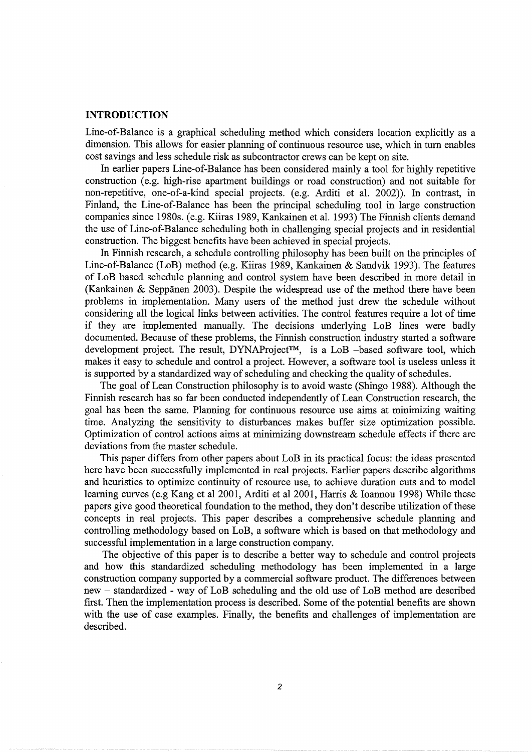#### **INTRODUCTION**

Line-of-Balance is a graphical scheduling method which considers location explicitly as a dimension. This allows for easier planning of continuous resource use, which in turn enables cost savings and less schedule risk as subcontractor crews can be kept on site.

In earlier papers Line-of-Balance has been considered mainly a tool for highly repetitive construction (e.g. high-rise apartment buildings or road construction) and not suitable for non-repetitive, one-of-a-kind special projects. (e.g. Arditi et al. 2002)). In contrast, in Finland, the Line-of-Balance has been the principal scheduling tool in large construction companies since 1980s. (e.g. Kiiras 1989, Kankainen et al. 1993) The Finnish clients demand the use of Line-of-Balance scheduling both in challenging special projects and in residential construction. The biggest benefits have been achieved in special projects.

In Finnish research, a schedule controlling philosophy has been built on the principles of Line-of-Balance (LoB) method (e.g. Kiiras 1989, Kankainen & Sandvik 1993). The features of LoB based schedule planning and control system have been described in more detail in (Kankainen  $\&$  Seppänen 2003). Despite the widespread use of the method there have been problems in implementation. Many users of the method just drew the schedule without considering all the logical links between activities. The control features require a lot of time if they are implemented manually. The decisions underlying LoB lines were badly documented. Because of these problems, the Finnish construction industry started a software development project. The result, DYNAProject™, is a LoB -based software tool, which makes it easy to schedule and control a project. However, a software tool is useless unless it is supported by a standardized way of scheduling and checking the quality of schedules.

The goal of Lean Construction philosophy is to avoid waste (Shingo 1988). Although the Finnish research has so far been conducted independently of Lean Construction research, the goal has been the same. Planning for continuous resource use aims at minimizing waiting time. Analyzing the sensitivity to disturbances makes buffer size optimization possible. Optimization of control actions aims at minimizing downstream schedule effects if there are deviations from the master schedule.

This paper differs from other papers about LoB in its practical focus: the ideas presented here have been successfully implemented in real projects. Earlier papers describe algorithms and heuristics to optimize continuity of resource use, to achieve duration cuts and to model learning curves (e.g Kang et al 2001, Arditi et al 2001, Harris & Ioannou 1998) While these papers give good theoretical foundation to the method, they don't describe utilization of these concepts in real projects. This paper describes a comprehensive schedule planning and controlling methodology based on LoB, a software which is based on that methodology and successful implementation in a large construction company.

The objective of this paper is to describe a better way to schedule and control projects and how this standardized scheduling methodology has been implemented in a large construction company supported by a commercial software product. The differences between new - standardized - way of LoB scheduling and the old use of LoB method are described first. Then the implementation process is described. Some of the potential benefits are shown with the use of case examples. Finally, the benefits and challenges of implementation are described.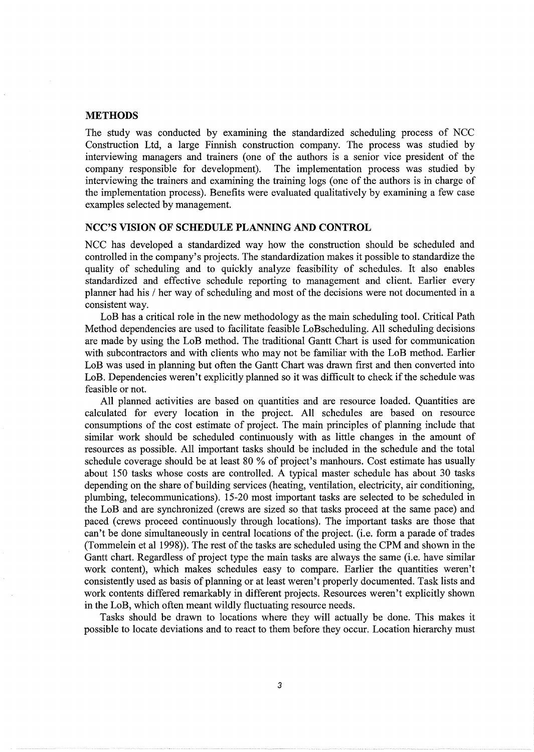#### METHODS

The study was conducted by examining the standardized scheduling process of NCC Construction Ltd, a large Finnish construction company. The process was studied by interviewing managers and trainers (one of the authors is a senior vice president of the company responsible for development). The implementation process was studied by interviewing the trainers and examining the training logs (one of the authors is in charge of the implementation process). Benefits were evaluated qualitatively by examining a few case examples selected by management.

### NCC'S VISION OF SCHEDULE PLANNING AND CONTROL

NCC has developed a standardized way how the construction should be scheduled and controlled in the company's projects. The standardization makes it possible to standardize the quality of scheduling and to quickly analyze feasibility of schedules. It also enables standardized and effective schedule reporting to management and client. Earlier every planner had his / her way of scheduling and most of the decisions were not documented in a consistent way.

LoB has a critical role in the new methodology as the main scheduling tool. Critical Path Method dependencies are used to facilitate feasible LoBscheduling. All scheduling decisions are made by using the LoB method. The traditional Gantt Chart is used for communication with subcontractors and with clients who may not be familiar with the LoB method. Earlier LoB was used in planning but often the Gantt Chart was drawn first and then converted into LoB. Dependencies weren't explicitly planned so it was difficult to check if the schedule was feasible or not.

All planned activities are based on quantities and are resource loaded. Quantities are calculated for every location in the project. All schedules are based on resource consumptions of the cost estimate of project. The main principles of planning include that similar work should be scheduled continuously with as little changes in the amount of resources as possible. All important tasks should be included in the schedule and the total schedule coverage should be at least 80 % of project's manhours. Cost estimate has usually about 150 tasks whose costs are controlled. A typical master schedule has about 30 tasks depending on the share of building services (heating, ventilation, electricity, air conditioning, plumbing, telecommunications). 15-20 most important tasks are selected to be scheduled in the LoB and are synchronized (crews are sized so that tasks proceed at the same pace) and paced (crews proceed continuously through locations). The important tasks are those that can't be done simultaneously in central locations of the project. (i.e. form a parade of trades (Tommelein et al 1998)). The rest of the tasks are scheduled using the CPM and shown in the Gantt chart. Regardless of project type the main tasks are always the same (i.e. have similar work content), which makes schedules easy to compare. Earlier the quantities weren't consistently used as basis of planning or at least weren't properly documented. Task lists and work contents differed remarkably in different projects. Resources weren't explicitly shown in the LoB, which often meant wildly fluctuating resource needs.

Tasks should be drawn to locations where they will actually be done. This makes it possible to locate deviations and to react to them before they occur. Location hierarchy must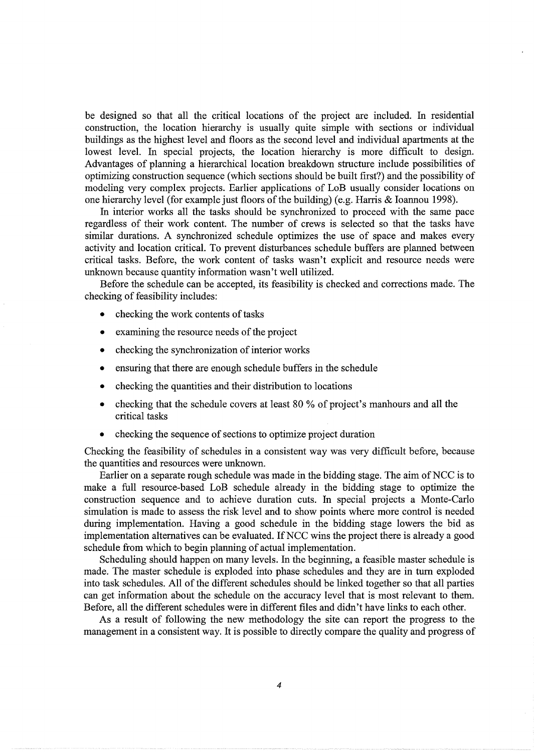be designed so that all the critical locations of the project are included. In residential construction, the location hierarchy is usually quite simple with sections or individual buildings as the highest level and floors as the second level and individual apartments at the lowest level. In special projects, the location hierarchy is more difficult to design. Advantages of planning a hierarchical location breakdown structure include possibilities of optimizing construction sequence (which sections should be built first?) and the possibility of modeling very complex projects. Earlier applications of LoB usually consider locations on one hierarchy level (for example just floors of the building) (e.g. Harris & Ioannou 1998).

In interior works all the tasks should be synchronized to proceed with the same pace regardless of their work content. The number of crews is selected so that the tasks have similar durations. A synchronized schedule optimizes the use of space and makes every activity and location critical. To prevent disturbances schedule buffers are planned between critical tasks. Before, the work content of tasks wasn't explicit and resource needs were unknown because quantity information wasn't well utilized.

Before the schedule can be accepted, its feasibility is checked and corrections made. The checking of feasibility includes:

- checking the work contents of tasks
- examining the resource needs of the project
- checking the synchronization of interior works
- ensuring that there are enough schedule buffers in the schedule
- checking the quantities and their distribution to locations
- checking that the schedule covers at least 80% of project's manhours and all the critical tasks
- checking the sequence of sections to optimize project duration

Checking the feasibility of schedules in a consistent way was very difficult before, because the quantities and resources were unknown.

Earlier on a separate rough schedule was made in the bidding stage. The aim of NCC is to make a full resource-based LoB schedule already in the bidding stage to optimize the construction sequence and to achieve duration cuts. In special projects a Monte-Carlo simulation is made to assess the risk level and to show points where more control is needed during implementation. Having a good schedule in the bidding stage lowers the bid as implementation alternatives can be evaluated. IfNCC wins the project there is already a good schedule from which to begin planning of actual implementation.

Scheduling should happen on many levels. In the beginning, a feasible master schedule is made. The master schedule is exploded into phase schedules and they are in tum exploded into task schedules. All of the different schedules should be linked together so that all parties can get information about the schedule on the accuracy level that is most relevant to them. Before, all the different schedules were in different files and didn't have links to each other.

As a result of following the new methodology the site can report the progress to the management in a consistent way. It is possible to directly compare the quality and progress of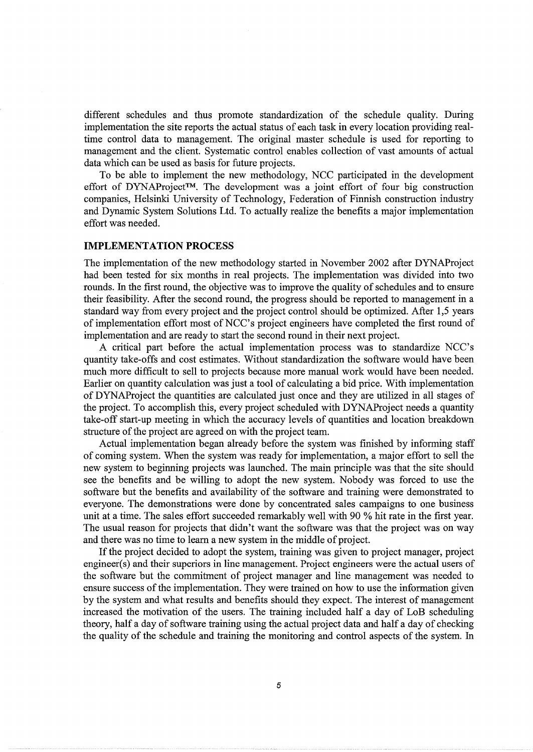different schedules and thus promote standardization of the schedule quality. During implementation the site reports the actual status of each task in every location providing realtime control data to management. The original master schedule is used for reporting to management and the client. Systematic control enables collection of vast amounts of actual data which can be used as basis for future projects.

To be able to implement the new methodology, NCC participated in the development effort of DYNAProject™. The development was a joint effort of four big construction companies, Helsinki University of Technology, Federation of Finnish construction industry and Dynamic System Solutions Ltd. To actually realize the benefits a major implementation effort was needed.

#### **IMPLEMENTATION PROCESS**

The implementation of the new methodology started in November 2002 after DYNAProject had been tested for six months in real projects. The implementation was divided into two rounds. In the first round, the objective was to improve the quality of schedules and to ensure their feasibility. After the second round, the progress should be reported to management in a standard way from every project and the project control should be optimized. After 1,5 years of implementation effort most of NCC's project engineers have completed the first round of implementation and are ready to start the second round in their next project.

A critical part before the actual implementation process was to standardize NCC's quantity take-offs and cost estimates. Without standardization the software would have been much more difficult to sell to projects because more manual work would have been needed. Earlier on quantity calculation was just a tool of calculating a bid price. With implementation of DYNAProject the quantities are calculated just once and they are utilized in all stages of the project. To accomplish this, every project scheduled with DYNAProject needs a quantity take-off start-up meeting in which the accuracy levels of quantities and location breakdown structure of the project are agreed on with the project team.

Actual implementation began already before the system was finished by informing staff of coming system. When the system was ready for implementation, a major effort to sell the new system to beginning projects was launched. The main principle was that the site should see the benefits and be willing to adopt the new system. Nobody was forced to use the software but the benefits and availability of the software and training were demonstrated to everyone. The demonstrations were done by concentrated sales campaigns to one business unit at a time. The sales effort succeeded remarkably well with 90 % hit rate in the first year. The usual reason for projects that didn't want the software was that the project was on way and there was no time to learn a new system in the middle of project.

If the project decided to adopt the system, training was given to project manager, project engineer(s) and their superiors in line management. Project engineers were the actual users of the software but the commitment of project manager and line management was needed to ensure success of the implementation. They were trained on how to use the information given by the system and what results and benefits should they expect. The interest of management increased the motivation of the users. The training included half a day of LoB scheduling theory, half a day of software training using the actual project data and half a day of checking the quality of the schedule and training the monitoring and control aspects of the system. In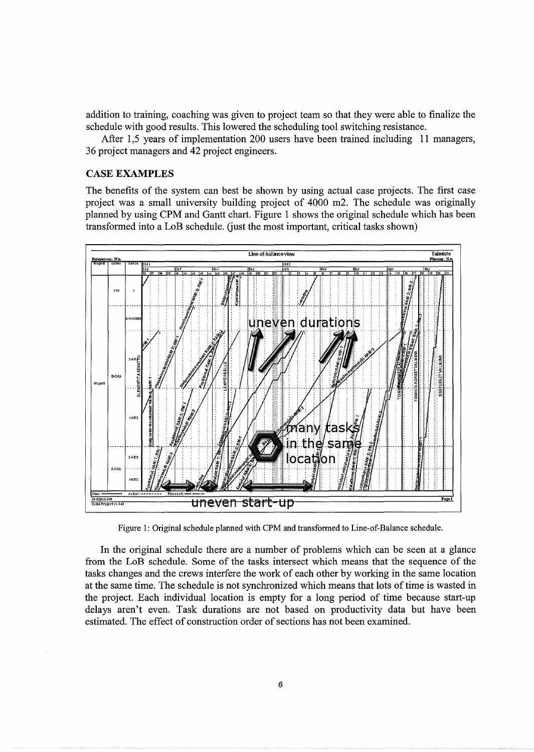addition to training, coaching was given to project team so that they were able to finalize the schedule with good results. This lowered the scheduling tool switching resistance.

After 1,5 years of implementation 200 users have been trained including 11 managers, 36 project managers and 42 project engineers.

#### **CASE EXAMPLES**

The benefits of the system can best be shown by using actual case projects. The first case project was a small university building project of 4000 m2. The schedule was originally planned by using CPM and Gantt chart. Figure 1 shows the original schedule which has been transformed into a LoB schedule. (just the most important, critical tasks shown)



Figure 1: Original schedule planned with CPM and transformed to Line-of-Balance schedule.

In the original schedule there are a number of problems which can be seen at a glance from the LoB schedule. Some of the tasks intersect which means that the sequence of the tasks changes and the crews interfere the work of each other by working in the same location at the same time. The schedule is not synchronized which means that lots of time is wasted in the project. Each individual location is empty for a long period of time because start-up delays aren't even. Task durations are not based on productivity data but have been estimated. The effect of construction order of sections has not been examined.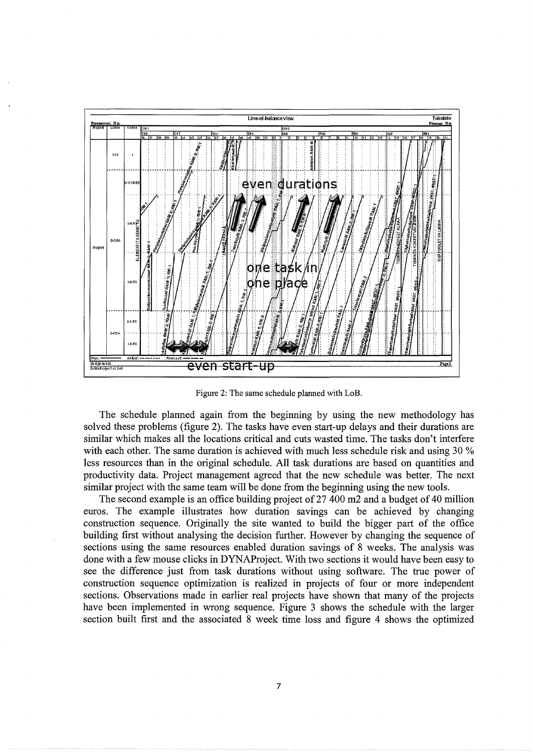

Figure 2: The same schedule planned with LoB.

The schedule planned again from the beginning by using the new methodology has solved these problems (figure 2). The tasks have even start-up delays and their durations are similar which makes all the locations critical and cuts wasted time. The tasks don't interfere with each other. The same duration is achieved with much less schedule risk and using 30 % less resources than in the original schedule. All task durations are based on quantities and productivity data. Project management agreed that the new schedule was better. The next similar project with the same team will be done from the beginning using the new tools.

The second example is an office building project of 27 400 m2 and a budget of 40 million euros. The example illustrates how duration savings can be achieved by changing construction sequence. Originally the site wanted to build the bigger part of the office building first without analysing the decision further. However by changing the sequence of sections using the same resources enabled duration savings of 8 weeks. The analysis was done with a few mouse clicks in DYNAProject. With two sections it would have been easy to see the difference just from task durations without using software. The true power of construction sequence optimization is realized in projects of four or more independent sections. Observations made in earlier real projects have shown that many of the projects have been implemented in wrong sequence. Figure 3 shows the schedule with the larger section built first and the associated 8 week time loss and figure 4 shows the optimized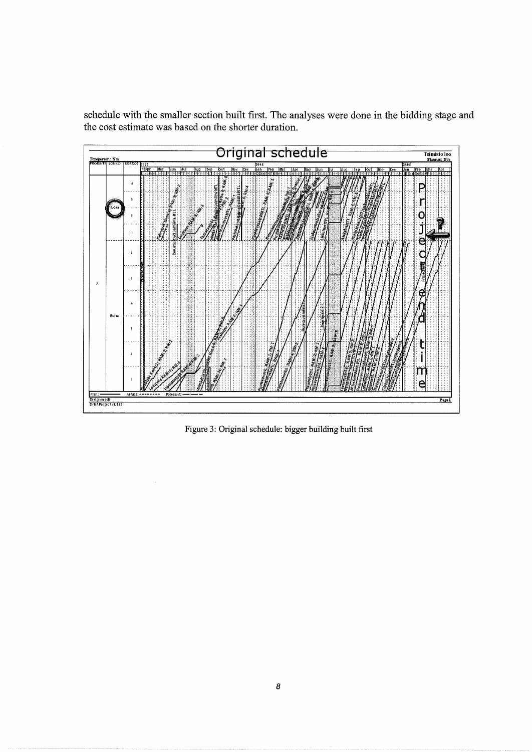schedule with the smaller section built first. The analyses were done in the bidding stage and the cost estimate was based on the shorter duration.



Figure 3: Original schedule: bigger building built first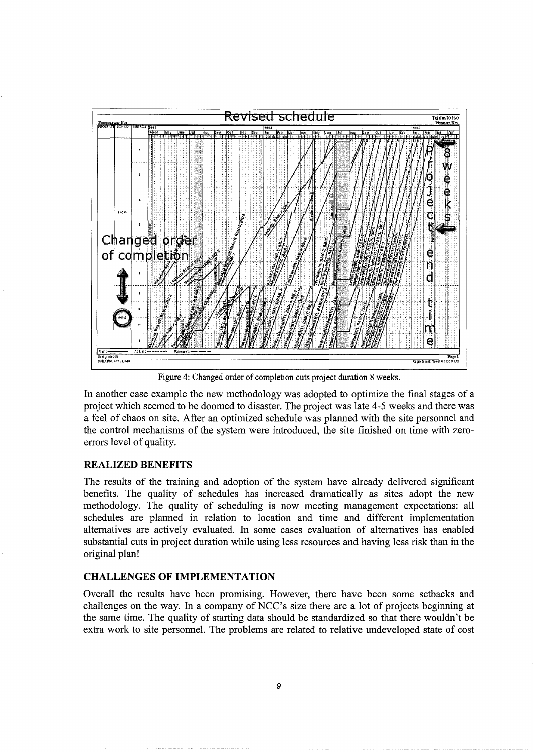

Figure 4: Changed order of completion cuts project duration 8 weeks.

In another case example the new methodology was adopted to optimize the final stages of a project which seemed to be doomed to disaster. The project was late 4-5 weeks and there was a feel of chaos on site. After an optimized schedule was planned with the site personnel and the control mechanisms of the system were introduced, the site finished on time with zeroerrors level of quality.

#### **REALIZED BENEFITS**

The results of the training and adoption of the system have already delivered significant benefits. The quality of schedules has increased dramatically as sites adopt the new methodology. The quality of scheduling is now meeting management expectations: all schedules are planned in relation to location and time and different implementation alternatives are actively evaluated. In some cases evaluation of alternatives has enabled substantial cuts in project duration while using less resources and having less risk than in the original plan!

#### **CHALLENGES OF IMPLEMENTATION**

Overall the results have been promising. However, there have been some setbacks and challenges on the way. In a company of NCC's size there are a lot of projects beginning at the same time. The quality of starting data should be standardized so that there wouldn't be extra work to site personnel. The problems are related to relative undeveloped state of cost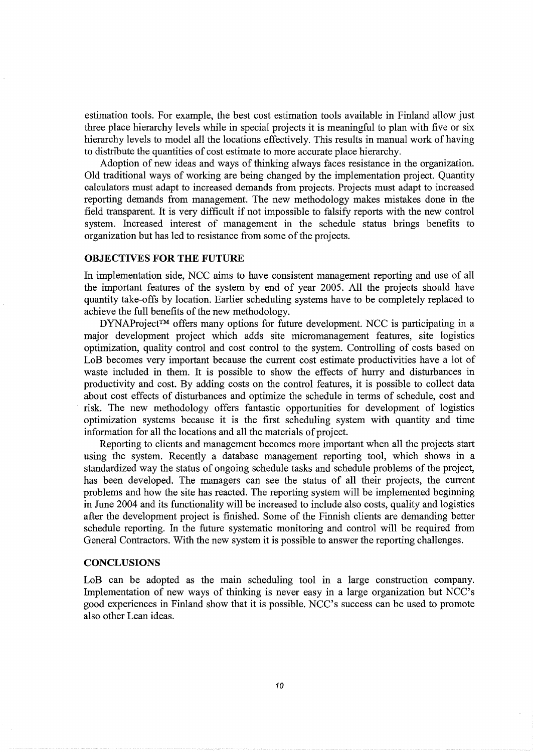estimation tools. For example, the best cost estimation tools available in Finland allow just three place hierarchy levels while in special projects it is meaningful to plan with five or six hierarchy levels to model all the locations effectively. This results in manual work of having to distribute the quantities of cost estimate to more accurate place hierarchy.

Adoption of new ideas and ways of thinking always faces resistance in the organization. Old traditional ways of working are being changed by the implementation project. Quantity calculators must adapt to increased demands from projects. Projects must adapt to increased reporting demands from management. The new methodology makes mistakes done in the field transparent. It is very difficult if not impossible to falsify reports with the new control system. Increased interest of management in the schedule status brings benefits to organization but has led to resistance from some of the projects.

#### **OBJECTIVES FOR THE FUTURE**

In implementation side, NCC aims to have consistent management reporting and use of all the important features of the system by end of year 2005. All the projects should have quantity take-offs by location. Earlier scheduling systems have to be completely replaced to achieve the full benefits of the new methodology.

DYNAProject™ offers many options for future development. NCC is participating in a major development project which adds site micromanagement features, site logistics optimization, quality control and cost control to the system. Controlling of costs based on LoB becomes very important because the current cost estimate productivities have a lot of waste included in them. It is possible to show the effects of hurry and disturbances in productivity and cost. By adding costs on the control features, it is possible to collect data about cost effects of disturbances and optimize the schedule in terms of schedule, cost and risk. The new methodology offers fantastic opportunities for development of logistics optimization systems because it is the first scheduling system with quantity and time information for all the locations and all the materials of project.

Reporting to clients and management becomes more important when all the projects start using the system. Recently a database management reporting tool, which shows in a standardized way the status of ongoing schedule tasks and schedule problems of the project, has been developed. The managers can see the status of all their projects, the current problems and how the site has reacted. The reporting system will be implemented beginning in June 2004 and its functionality will be increased to include also costs, quality and logistics after the development project is finished. Some of the Finnish clients are demanding better schedule reporting. In the future systematic monitoring and control will be required from General Contractors. With the new system it is possible to answer the reporting challenges.

#### **CONCLUSIONS**

LoB can be adopted as the main scheduling tool in a large construction company. Implementation of new ways of thinking is never easy in a large organization but NCC's good experiences in Finland show that it is possible. NCC's success can be used to promote also other Lean ideas.